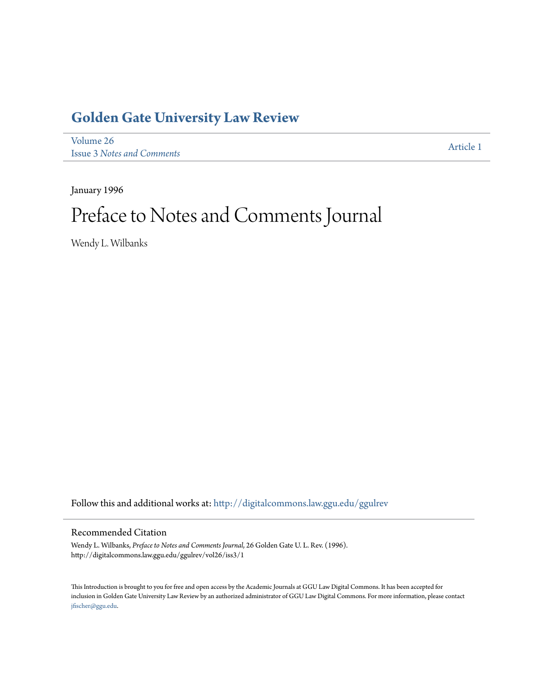## **[Golden Gate University Law Review](http://digitalcommons.law.ggu.edu/ggulrev?utm_source=digitalcommons.law.ggu.edu%2Fggulrev%2Fvol26%2Fiss3%2F1&utm_medium=PDF&utm_campaign=PDFCoverPages)**

[Volume 26](http://digitalcommons.law.ggu.edu/ggulrev/vol26?utm_source=digitalcommons.law.ggu.edu%2Fggulrev%2Fvol26%2Fiss3%2F1&utm_medium=PDF&utm_campaign=PDFCoverPages) Issue 3 *[Notes and Comments](http://digitalcommons.law.ggu.edu/ggulrev/vol26/iss3?utm_source=digitalcommons.law.ggu.edu%2Fggulrev%2Fvol26%2Fiss3%2F1&utm_medium=PDF&utm_campaign=PDFCoverPages)*

[Article 1](http://digitalcommons.law.ggu.edu/ggulrev/vol26/iss3/1?utm_source=digitalcommons.law.ggu.edu%2Fggulrev%2Fvol26%2Fiss3%2F1&utm_medium=PDF&utm_campaign=PDFCoverPages)

January 1996

## Preface to Notes and Comments Journal

Wendy L. Wilbanks

Follow this and additional works at: [http://digitalcommons.law.ggu.edu/ggulrev](http://digitalcommons.law.ggu.edu/ggulrev?utm_source=digitalcommons.law.ggu.edu%2Fggulrev%2Fvol26%2Fiss3%2F1&utm_medium=PDF&utm_campaign=PDFCoverPages)

## Recommended Citation

Wendy L. Wilbanks, *Preface to Notes and Comments Journal*, 26 Golden Gate U. L. Rev. (1996). http://digitalcommons.law.ggu.edu/ggulrev/vol26/iss3/1

This Introduction is brought to you for free and open access by the Academic Journals at GGU Law Digital Commons. It has been accepted for inclusion in Golden Gate University Law Review by an authorized administrator of GGU Law Digital Commons. For more information, please contact [jfischer@ggu.edu](mailto:jfischer@ggu.edu).